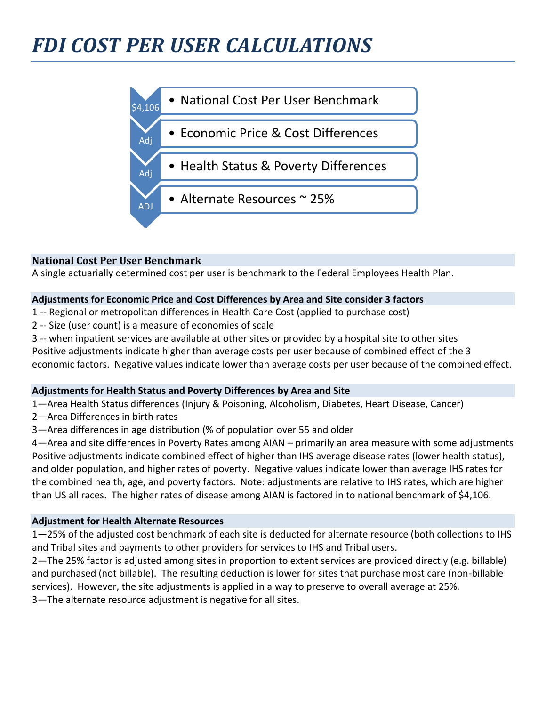

#### **National Cost Per User Benchmark**

A single actuarially determined cost per user is benchmark to the Federal Employees Health Plan.

#### **Adjustments for Economic Price and Cost Differences by Area and Site consider 3 factors**

- 1 -- Regional or metropolitan differences in Health Care Cost (applied to purchase cost)
- 2 -- Size (user count) is a measure of economies of scale
- 3 -- when inpatient services are available at other sites or provided by a hospital site to other sites

Positive adjustments indicate higher than average costs per user because of combined effect of the 3 economic factors. Negative values indicate lower than average costs per user because of the combined effect.

#### **Adjustments for Health Status and Poverty Differences by Area and Site**

1—Area Health Status differences (Injury & Poisoning, Alcoholism, Diabetes, Heart Disease, Cancer)

- 2—Area Differences in birth rates
- 3—Area differences in age distribution (% of population over 55 and older

4—Area and site differences in Poverty Rates among AIAN – primarily an area measure with some adjustments Positive adjustments indicate combined effect of higher than IHS average disease rates (lower health status), and older population, and higher rates of poverty. Negative values indicate lower than average IHS rates for the combined health, age, and poverty factors. Note: adjustments are relative to IHS rates, which are higher than US all races. The higher rates of disease among AIAN is factored in to national benchmark of \$4,106.

#### **Adjustment for Health Alternate Resources**

1—25% of the adjusted cost benchmark of each site is deducted for alternate resource (both collections to IHS and Tribal sites and payments to other providers for services to IHS and Tribal users.

2—The 25% factor is adjusted among sites in proportion to extent services are provided directly (e.g. billable) and purchased (not billable). The resulting deduction is lower for sites that purchase most care (non-billable services). However, the site adjustments is applied in a way to preserve to overall average at 25%. 3—The alternate resource adjustment is negative for all sites.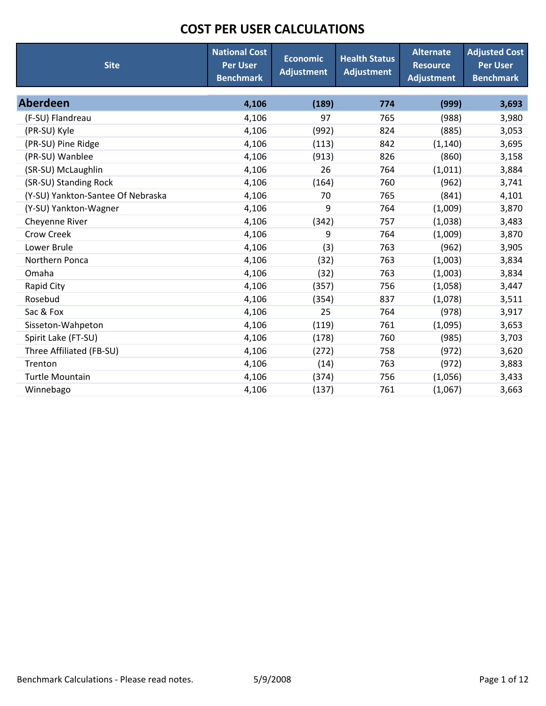| <b>Site</b>                       | <b>National Cost</b><br><b>Per User</b><br><b>Benchmark</b> | <b>Economic</b><br><b>Adjustment</b> | <b>Health Status</b><br><b>Adjustment</b> | <b>Alternate</b><br><b>Resource</b><br><b>Adjustment</b> | <b>Adjusted Cost</b><br><b>Per User</b><br><b>Benchmark</b> |
|-----------------------------------|-------------------------------------------------------------|--------------------------------------|-------------------------------------------|----------------------------------------------------------|-------------------------------------------------------------|
| <b>Aberdeen</b>                   | 4,106                                                       | (189)                                | 774                                       | (999)                                                    | 3,693                                                       |
| (F-SU) Flandreau                  | 4,106                                                       | 97                                   | 765                                       | (988)                                                    | 3,980                                                       |
| (PR-SU) Kyle                      | 4,106                                                       | (992)                                | 824                                       | (885)                                                    | 3,053                                                       |
| (PR-SU) Pine Ridge                | 4,106                                                       | (113)                                | 842                                       | (1, 140)                                                 | 3,695                                                       |
| (PR-SU) Wanblee                   | 4,106                                                       | (913)                                | 826                                       | (860)                                                    | 3,158                                                       |
| (SR-SU) McLaughlin                | 4,106                                                       | 26                                   | 764                                       | (1,011)                                                  | 3,884                                                       |
| (SR-SU) Standing Rock             | 4,106                                                       | (164)                                | 760                                       | (962)                                                    | 3,741                                                       |
| (Y-SU) Yankton-Santee Of Nebraska | 4,106                                                       | 70                                   | 765                                       | (841)                                                    | 4,101                                                       |
| (Y-SU) Yankton-Wagner             | 4,106                                                       | 9                                    | 764                                       | (1,009)                                                  | 3,870                                                       |
| Cheyenne River                    | 4,106                                                       | (342)                                | 757                                       | (1,038)                                                  | 3,483                                                       |
| <b>Crow Creek</b>                 | 4,106                                                       | 9                                    | 764                                       | (1,009)                                                  | 3,870                                                       |
| Lower Brule                       | 4,106                                                       | (3)                                  | 763                                       | (962)                                                    | 3,905                                                       |
| Northern Ponca                    | 4,106                                                       | (32)                                 | 763                                       | (1,003)                                                  | 3,834                                                       |
| Omaha                             | 4,106                                                       | (32)                                 | 763                                       | (1,003)                                                  | 3,834                                                       |
| Rapid City                        | 4,106                                                       | (357)                                | 756                                       | (1,058)                                                  | 3,447                                                       |
| Rosebud                           | 4,106                                                       | (354)                                | 837                                       | (1,078)                                                  | 3,511                                                       |
| Sac & Fox                         | 4,106                                                       | 25                                   | 764                                       | (978)                                                    | 3,917                                                       |
| Sisseton-Wahpeton                 | 4,106                                                       | (119)                                | 761                                       | (1,095)                                                  | 3,653                                                       |
| Spirit Lake (FT-SU)               | 4,106                                                       | (178)                                | 760                                       | (985)                                                    | 3,703                                                       |
| Three Affiliated (FB-SU)          | 4,106                                                       | (272)                                | 758                                       | (972)                                                    | 3,620                                                       |
| Trenton                           | 4,106                                                       | (14)                                 | 763                                       | (972)                                                    | 3,883                                                       |
| <b>Turtle Mountain</b>            | 4,106                                                       | (374)                                | 756                                       | (1,056)                                                  | 3,433                                                       |
| Winnebago                         | 4,106                                                       | (137)                                | 761                                       | (1,067)                                                  | 3,663                                                       |
|                                   |                                                             |                                      |                                           |                                                          |                                                             |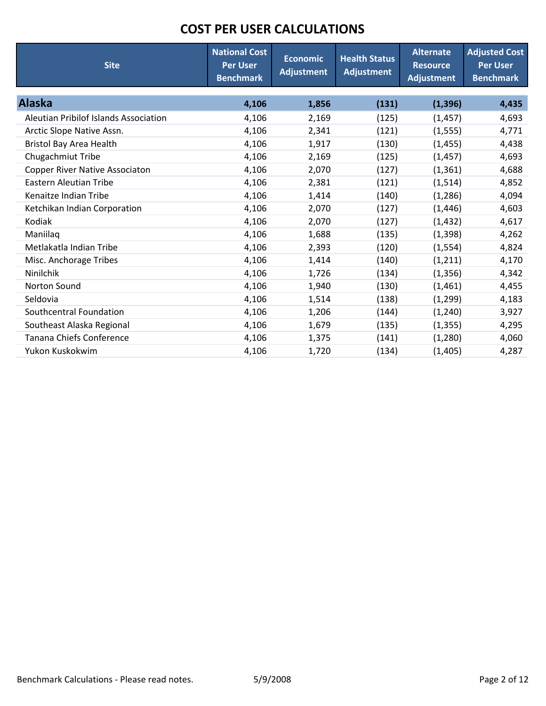| <b>Site</b>                                  | <b>National Cost</b><br><b>Per User</b><br><b>Benchmark</b> | <b>Economic</b><br><b>Adjustment</b> | <b>Health Status</b><br><b>Adjustment</b> | <b>Alternate</b><br><b>Resource</b><br><b>Adjustment</b> | <b>Adjusted Cost</b><br><b>Per User</b><br><b>Benchmark</b> |
|----------------------------------------------|-------------------------------------------------------------|--------------------------------------|-------------------------------------------|----------------------------------------------------------|-------------------------------------------------------------|
| <b>Alaska</b>                                | 4,106                                                       | 1,856                                | (131)                                     | (1, 396)                                                 | 4,435                                                       |
| <b>Aleutian Pribilof Islands Association</b> | 4,106                                                       | 2,169                                | (125)                                     | (1, 457)                                                 | 4,693                                                       |
| Arctic Slope Native Assn.                    | 4,106                                                       | 2,341                                | (121)                                     | (1, 555)                                                 | 4,771                                                       |
| <b>Bristol Bay Area Health</b>               | 4,106                                                       | 1,917                                | (130)                                     | (1, 455)                                                 | 4,438                                                       |
| Chugachmiut Tribe                            | 4,106                                                       | 2,169                                | (125)                                     | (1, 457)                                                 | 4,693                                                       |
| <b>Copper River Native Associaton</b>        | 4,106                                                       | 2,070                                | (127)                                     | (1, 361)                                                 | 4,688                                                       |
| <b>Eastern Aleutian Tribe</b>                | 4,106                                                       | 2,381                                | (121)                                     | (1, 514)                                                 | 4,852                                                       |
| Kenaitze Indian Tribe                        | 4,106                                                       | 1,414                                | (140)                                     | (1, 286)                                                 | 4,094                                                       |
| Ketchikan Indian Corporation                 | 4,106                                                       | 2,070                                | (127)                                     | (1, 446)                                                 | 4,603                                                       |
| Kodiak                                       | 4,106                                                       | 2,070                                | (127)                                     | (1, 432)                                                 | 4,617                                                       |
| Maniilaq                                     | 4,106                                                       | 1,688                                | (135)                                     | (1, 398)                                                 | 4,262                                                       |
| Metlakatla Indian Tribe                      | 4,106                                                       | 2,393                                | (120)                                     | (1, 554)                                                 | 4,824                                                       |
| Misc. Anchorage Tribes                       | 4,106                                                       | 1,414                                | (140)                                     | (1, 211)                                                 | 4,170                                                       |
| Ninilchik                                    | 4,106                                                       | 1,726                                | (134)                                     | (1, 356)                                                 | 4,342                                                       |
| Norton Sound                                 | 4,106                                                       | 1,940                                | (130)                                     | (1,461)                                                  | 4,455                                                       |
| Seldovia                                     | 4,106                                                       | 1,514                                | (138)                                     | (1, 299)                                                 | 4,183                                                       |
| Southcentral Foundation                      | 4,106                                                       | 1,206                                | (144)                                     | (1, 240)                                                 | 3,927                                                       |
| Southeast Alaska Regional                    | 4,106                                                       | 1,679                                | (135)                                     | (1, 355)                                                 | 4,295                                                       |
| <b>Tanana Chiefs Conference</b>              | 4,106                                                       | 1,375                                | (141)                                     | (1,280)                                                  | 4,060                                                       |
| Yukon Kuskokwim                              | 4,106                                                       | 1,720                                | (134)                                     | (1,405)                                                  | 4,287                                                       |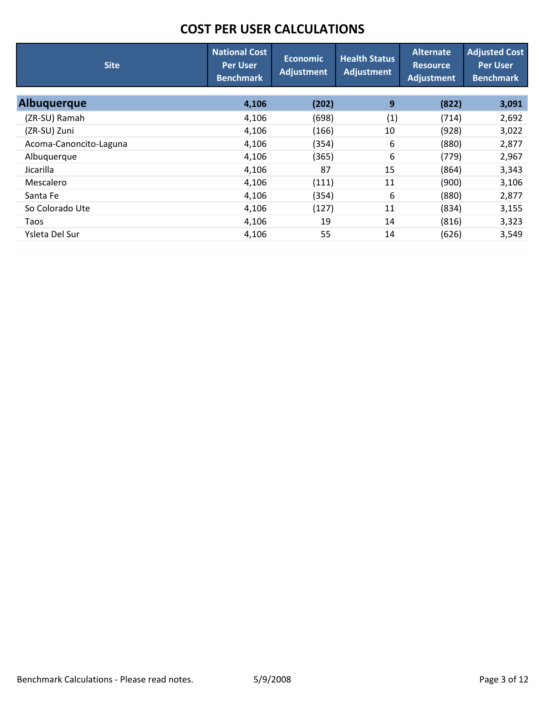| <b>Site</b>            | <b>National Cost</b><br><b>Per User</b><br><b>Benchmark</b> | Economic<br><b>Adjustment</b> | <b>Health Status</b><br><b>Adjustment</b> | <b>Alternate</b><br><b>Resource</b><br>Adjustment | <b>Adjusted Cost</b><br><b>Per User</b><br><b>Benchmark</b> |
|------------------------|-------------------------------------------------------------|-------------------------------|-------------------------------------------|---------------------------------------------------|-------------------------------------------------------------|
| <b>Albuguerque</b>     | 4,106                                                       | (202)                         | 9                                         | (822)                                             | 3,091                                                       |
| (ZR-SU) Ramah          | 4,106                                                       | (698)                         | (1)                                       | (714)                                             | 2,692                                                       |
| (ZR-SU) Zuni           | 4,106                                                       | (166)                         | 10                                        | (928)                                             | 3,022                                                       |
| Acoma-Canoncito-Laguna | 4,106                                                       | (354)                         | 6                                         | (880)                                             | 2,877                                                       |
| Albuquerque            | 4,106                                                       | (365)                         | 6                                         | (779)                                             | 2,967                                                       |
| Jicarilla              | 4,106                                                       | 87                            | 15                                        | (864)                                             | 3,343                                                       |
| Mescalero              | 4,106                                                       | (111)                         | 11                                        | (900)                                             | 3,106                                                       |
| Santa Fe               | 4,106                                                       | (354)                         | 6                                         | (880)                                             | 2,877                                                       |
| So Colorado Ute        | 4,106                                                       | (127)                         | 11                                        | (834)                                             | 3,155                                                       |
| Taos                   | 4,106                                                       | 19                            | 14                                        | (816)                                             | 3,323                                                       |
| Ysleta Del Sur         | 4,106                                                       | 55                            | 14                                        | (626)                                             | 3,549                                                       |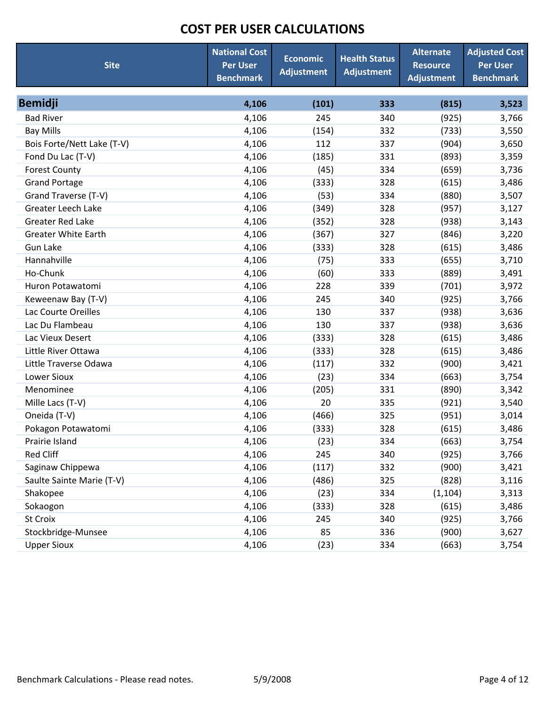| <b>Site</b>                | <b>National Cost</b><br><b>Per User</b><br><b>Benchmark</b> | <b>Economic</b><br><b>Adjustment</b> | <b>Health Status</b><br><b>Adjustment</b> | <b>Alternate</b><br><b>Resource</b><br><b>Adjustment</b> | <b>Adjusted Cost</b><br><b>Per User</b><br><b>Benchmark</b> |
|----------------------------|-------------------------------------------------------------|--------------------------------------|-------------------------------------------|----------------------------------------------------------|-------------------------------------------------------------|
| <b>Bemidji</b>             | 4,106                                                       | (101)                                | 333                                       | (815)                                                    | 3,523                                                       |
| <b>Bad River</b>           | 4,106                                                       | 245                                  | 340                                       | (925)                                                    | 3,766                                                       |
| <b>Bay Mills</b>           | 4,106                                                       | (154)                                | 332                                       | (733)                                                    | 3,550                                                       |
| Bois Forte/Nett Lake (T-V) | 4,106                                                       | 112                                  | 337                                       | (904)                                                    | 3,650                                                       |
| Fond Du Lac (T-V)          | 4,106                                                       | (185)                                | 331                                       | (893)                                                    | 3,359                                                       |
| <b>Forest County</b>       | 4,106                                                       | (45)                                 | 334                                       | (659)                                                    | 3,736                                                       |
| <b>Grand Portage</b>       | 4,106                                                       | (333)                                | 328                                       | (615)                                                    | 3,486                                                       |
| Grand Traverse (T-V)       | 4,106                                                       | (53)                                 | 334                                       | (880)                                                    | 3,507                                                       |
| <b>Greater Leech Lake</b>  | 4,106                                                       | (349)                                | 328                                       | (957)                                                    | 3,127                                                       |
| <b>Greater Red Lake</b>    | 4,106                                                       | (352)                                | 328                                       | (938)                                                    | 3,143                                                       |
| <b>Greater White Earth</b> | 4,106                                                       | (367)                                | 327                                       | (846)                                                    | 3,220                                                       |
| <b>Gun Lake</b>            | 4,106                                                       | (333)                                | 328                                       | (615)                                                    | 3,486                                                       |
| Hannahville                | 4,106                                                       | (75)                                 | 333                                       | (655)                                                    | 3,710                                                       |
| Ho-Chunk                   | 4,106                                                       | (60)                                 | 333                                       | (889)                                                    | 3,491                                                       |
| Huron Potawatomi           | 4,106                                                       | 228                                  | 339                                       | (701)                                                    | 3,972                                                       |
| Keweenaw Bay (T-V)         | 4,106                                                       | 245                                  | 340                                       | (925)                                                    | 3,766                                                       |
| Lac Courte Oreilles        | 4,106                                                       | 130                                  | 337                                       | (938)                                                    | 3,636                                                       |
| Lac Du Flambeau            | 4,106                                                       | 130                                  | 337                                       | (938)                                                    | 3,636                                                       |
| Lac Vieux Desert           | 4,106                                                       | (333)                                | 328                                       | (615)                                                    | 3,486                                                       |
| Little River Ottawa        | 4,106                                                       | (333)                                | 328                                       | (615)                                                    | 3,486                                                       |
| Little Traverse Odawa      | 4,106                                                       | (117)                                | 332                                       | (900)                                                    | 3,421                                                       |
| Lower Sioux                | 4,106                                                       | (23)                                 | 334                                       | (663)                                                    | 3,754                                                       |
| Menominee                  | 4,106                                                       | (205)                                | 331                                       | (890)                                                    | 3,342                                                       |
| Mille Lacs (T-V)           | 4,106                                                       | 20                                   | 335                                       | (921)                                                    | 3,540                                                       |
| Oneida (T-V)               | 4,106                                                       | (466)                                | 325                                       | (951)                                                    | 3,014                                                       |
| Pokagon Potawatomi         | 4,106                                                       | (333)                                | 328                                       | (615)                                                    | 3,486                                                       |
| Prairie Island             | 4,106                                                       | (23)                                 | 334                                       | (663)                                                    | 3,754                                                       |
| <b>Red Cliff</b>           | 4,106                                                       | 245                                  | 340                                       | (925)                                                    | 3,766                                                       |
| Saginaw Chippewa           | 4,106                                                       | (117)                                | 332                                       | (900)                                                    | 3,421                                                       |
| Saulte Sainte Marie (T-V)  | 4,106                                                       | (486)                                | 325                                       | (828)                                                    | 3,116                                                       |
| Shakopee                   | 4,106                                                       | (23)                                 | 334                                       | (1, 104)                                                 | 3,313                                                       |
| Sokaogon                   | 4,106                                                       | (333)                                | 328                                       | (615)                                                    | 3,486                                                       |
| <b>St Croix</b>            | 4,106                                                       | 245                                  | 340                                       | (925)                                                    | 3,766                                                       |
| Stockbridge-Munsee         | 4,106                                                       | 85                                   | 336                                       | (900)                                                    | 3,627                                                       |
| <b>Upper Sioux</b>         | 4,106                                                       | (23)                                 | 334                                       | (663)                                                    | 3,754                                                       |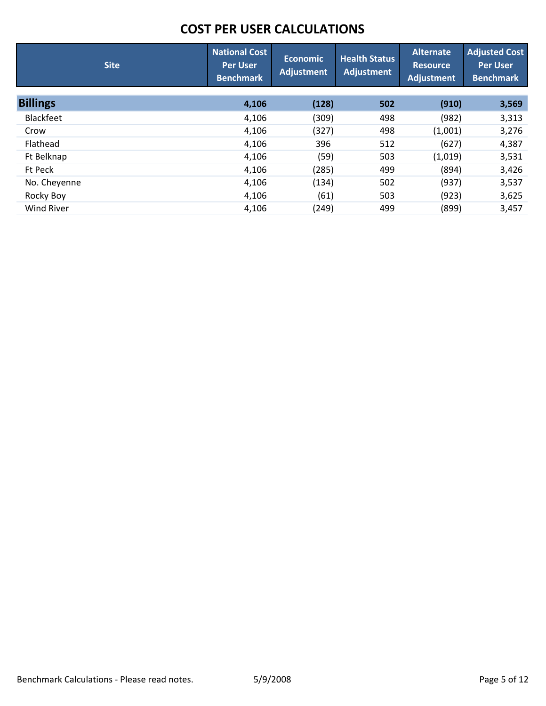| <b>Site</b>       | <b>National Cost</b><br><b>Per User</b><br><b>Benchmark</b> | <b>Economic</b><br><b>Adjustment</b> | <b>Health Status</b><br>Adjustment | <b>Alternate</b><br><b>Resource</b><br><b>Adjustment</b> | <b>Adjusted Cost</b><br><b>Per User</b><br><b>Benchmark</b> |
|-------------------|-------------------------------------------------------------|--------------------------------------|------------------------------------|----------------------------------------------------------|-------------------------------------------------------------|
| <b>Billings</b>   | 4,106                                                       | (128)                                | 502                                | (910)                                                    | 3,569                                                       |
| <b>Blackfeet</b>  | 4,106                                                       | (309)                                | 498                                | (982)                                                    | 3,313                                                       |
| Crow              | 4,106                                                       | (327)                                | 498                                | (1,001)                                                  | 3,276                                                       |
| Flathead          | 4,106                                                       | 396                                  | 512                                | (627)                                                    | 4,387                                                       |
| Ft Belknap        | 4,106                                                       | (59)                                 | 503                                | (1,019)                                                  | 3,531                                                       |
| Ft Peck           | 4,106                                                       | (285)                                | 499                                | (894)                                                    | 3,426                                                       |
| No. Cheyenne      | 4,106                                                       | (134)                                | 502                                | (937)                                                    | 3,537                                                       |
| Rocky Boy         | 4,106                                                       | (61)                                 | 503                                | (923)                                                    | 3,625                                                       |
| <b>Wind River</b> | 4,106                                                       | (249)                                | 499                                | (899)                                                    | 3,457                                                       |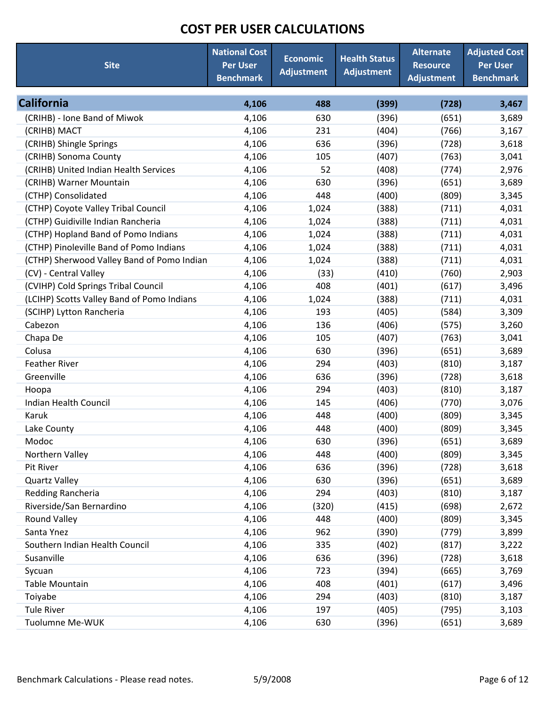| <b>Site</b>                                | <b>National Cost</b><br><b>Per User</b><br><b>Benchmark</b> | <b>Economic</b><br><b>Adjustment</b> | <b>Health Status</b><br><b>Adjustment</b> | <b>Alternate</b><br><b>Resource</b><br><b>Adjustment</b> | <b>Adjusted Cost</b><br><b>Per User</b><br><b>Benchmark</b> |
|--------------------------------------------|-------------------------------------------------------------|--------------------------------------|-------------------------------------------|----------------------------------------------------------|-------------------------------------------------------------|
| <b>California</b>                          | 4,106                                                       | 488                                  | (399)                                     | (728)                                                    | 3,467                                                       |
| (CRIHB) - Ione Band of Miwok               | 4,106                                                       | 630                                  | (396)                                     | (651)                                                    | 3,689                                                       |
| (CRIHB) MACT                               | 4,106                                                       | 231                                  | (404)                                     | (766)                                                    | 3,167                                                       |
| (CRIHB) Shingle Springs                    | 4,106                                                       | 636                                  | (396)                                     | (728)                                                    | 3,618                                                       |
| (CRIHB) Sonoma County                      | 4,106                                                       | 105                                  | (407)                                     | (763)                                                    | 3,041                                                       |
| (CRIHB) United Indian Health Services      | 4,106                                                       | 52                                   | (408)                                     | (774)                                                    | 2,976                                                       |
| (CRIHB) Warner Mountain                    | 4,106                                                       | 630                                  | (396)                                     | (651)                                                    | 3,689                                                       |
| (CTHP) Consolidated                        | 4,106                                                       | 448                                  | (400)                                     | (809)                                                    | 3,345                                                       |
| (CTHP) Coyote Valley Tribal Council        | 4,106                                                       | 1,024                                | (388)                                     | (711)                                                    | 4,031                                                       |
| (CTHP) Guidiville Indian Rancheria         | 4,106                                                       | 1,024                                | (388)                                     | (711)                                                    | 4,031                                                       |
| (CTHP) Hopland Band of Pomo Indians        | 4,106                                                       | 1,024                                | (388)                                     | (711)                                                    | 4,031                                                       |
| (CTHP) Pinoleville Band of Pomo Indians    | 4,106                                                       | 1,024                                | (388)                                     | (711)                                                    | 4,031                                                       |
| (CTHP) Sherwood Valley Band of Pomo Indian | 4,106                                                       | 1,024                                | (388)                                     | (711)                                                    | 4,031                                                       |
| (CV) - Central Valley                      | 4,106                                                       | (33)                                 | (410)                                     | (760)                                                    | 2,903                                                       |
| (CVIHP) Cold Springs Tribal Council        | 4,106                                                       | 408                                  | (401)                                     | (617)                                                    | 3,496                                                       |
| (LCIHP) Scotts Valley Band of Pomo Indians | 4,106                                                       | 1,024                                | (388)                                     | (711)                                                    | 4,031                                                       |
| (SCIHP) Lytton Rancheria                   | 4,106                                                       | 193                                  | (405)                                     | (584)                                                    | 3,309                                                       |
| Cabezon                                    | 4,106                                                       | 136                                  | (406)                                     | (575)                                                    | 3,260                                                       |
| Chapa De                                   | 4,106                                                       | 105                                  | (407)                                     | (763)                                                    | 3,041                                                       |
| Colusa                                     | 4,106                                                       | 630                                  | (396)                                     | (651)                                                    | 3,689                                                       |
| <b>Feather River</b>                       | 4,106                                                       | 294                                  | (403)                                     | (810)                                                    | 3,187                                                       |
| Greenville                                 | 4,106                                                       | 636                                  | (396)                                     | (728)                                                    | 3,618                                                       |
| Hoopa                                      | 4,106                                                       | 294                                  | (403)                                     | (810)                                                    | 3,187                                                       |
| <b>Indian Health Council</b>               | 4,106                                                       | 145                                  | (406)                                     | (770)                                                    | 3,076                                                       |
| Karuk                                      | 4,106                                                       | 448                                  | (400)                                     | (809)                                                    | 3,345                                                       |
| Lake County                                | 4,106                                                       | 448                                  | (400)                                     | (809)                                                    | 3,345                                                       |
| Modoc                                      | 4,106                                                       | 630                                  | (396)                                     | (651)                                                    | 3,689                                                       |
| Northern Valley                            | 4,106                                                       | 448                                  | (400)                                     | (809)                                                    | 3,345                                                       |
| Pit River                                  | 4,106                                                       | 636                                  | (396)                                     | (728)                                                    | 3,618                                                       |
| <b>Quartz Valley</b>                       | 4,106                                                       | 630                                  | (396)                                     | (651)                                                    | 3,689                                                       |
| Redding Rancheria                          | 4,106                                                       | 294                                  | (403)                                     | (810)                                                    | 3,187                                                       |
| Riverside/San Bernardino                   | 4,106                                                       | (320)                                | (415)                                     | (698)                                                    | 2,672                                                       |
| <b>Round Valley</b>                        | 4,106                                                       | 448                                  | (400)                                     | (809)                                                    | 3,345                                                       |
| Santa Ynez                                 | 4,106                                                       | 962                                  | (390)                                     | (779)                                                    | 3,899                                                       |
| Southern Indian Health Council             | 4,106                                                       | 335                                  | (402)                                     | (817)                                                    | 3,222                                                       |
| Susanville                                 | 4,106                                                       | 636                                  | (396)                                     | (728)                                                    | 3,618                                                       |
| Sycuan                                     | 4,106                                                       | 723                                  | (394)                                     | (665)                                                    | 3,769                                                       |
| Table Mountain                             | 4,106                                                       | 408                                  | (401)                                     | (617)                                                    | 3,496                                                       |
| Toiyabe                                    | 4,106                                                       | 294                                  | (403)                                     | (810)                                                    | 3,187                                                       |
| <b>Tule River</b>                          | 4,106                                                       | 197                                  | (405)                                     | (795)                                                    | 3,103                                                       |
| Tuolumne Me-WUK                            | 4,106                                                       | 630                                  | (396)                                     | (651)                                                    | 3,689                                                       |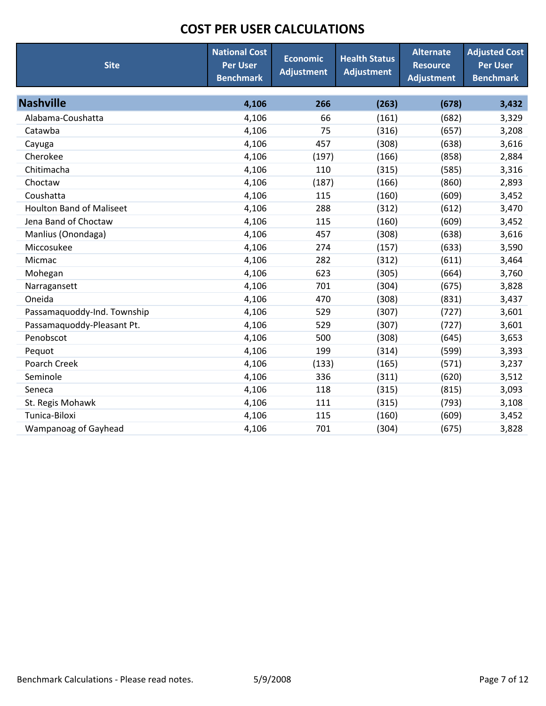| <b>Site</b>                     | <b>National Cost</b><br><b>Per User</b><br><b>Benchmark</b> | <b>Economic</b><br><b>Adjustment</b> | <b>Health Status</b><br><b>Adjustment</b> | <b>Alternate</b><br><b>Resource</b><br><b>Adjustment</b> | <b>Adjusted Cost</b><br><b>Per User</b><br><b>Benchmark</b> |
|---------------------------------|-------------------------------------------------------------|--------------------------------------|-------------------------------------------|----------------------------------------------------------|-------------------------------------------------------------|
| <b>Nashville</b>                | 4,106                                                       | 266                                  | (263)                                     | (678)                                                    | 3,432                                                       |
| Alabama-Coushatta               | 4,106                                                       | 66                                   | (161)                                     | (682)                                                    | 3,329                                                       |
| Catawba                         | 4,106                                                       | 75                                   | (316)                                     | (657)                                                    | 3,208                                                       |
| Cayuga                          | 4,106                                                       | 457                                  | (308)                                     | (638)                                                    | 3,616                                                       |
| Cherokee                        | 4,106                                                       | (197)                                | (166)                                     | (858)                                                    | 2,884                                                       |
| Chitimacha                      | 4,106                                                       | 110                                  | (315)                                     | (585)                                                    | 3,316                                                       |
| Choctaw                         | 4,106                                                       | (187)                                | (166)                                     | (860)                                                    | 2,893                                                       |
| Coushatta                       | 4,106                                                       | 115                                  | (160)                                     | (609)                                                    | 3,452                                                       |
| <b>Houlton Band of Maliseet</b> | 4,106                                                       | 288                                  | (312)                                     | (612)                                                    | 3,470                                                       |
| Jena Band of Choctaw            | 4,106                                                       | 115                                  | (160)                                     | (609)                                                    | 3,452                                                       |
| Manlius (Onondaga)              | 4,106                                                       | 457                                  | (308)                                     | (638)                                                    | 3,616                                                       |
| Miccosukee                      | 4,106                                                       | 274                                  | (157)                                     | (633)                                                    | 3,590                                                       |
| Micmac                          | 4,106                                                       | 282                                  | (312)                                     | (611)                                                    | 3,464                                                       |
| Mohegan                         | 4,106                                                       | 623                                  | (305)                                     | (664)                                                    | 3,760                                                       |
| Narragansett                    | 4,106                                                       | 701                                  | (304)                                     | (675)                                                    | 3,828                                                       |
| Oneida                          | 4,106                                                       | 470                                  | (308)                                     | (831)                                                    | 3,437                                                       |
| Passamaquoddy-Ind. Township     | 4,106                                                       | 529                                  | (307)                                     | (727)                                                    | 3,601                                                       |
| Passamaquoddy-Pleasant Pt.      | 4,106                                                       | 529                                  | (307)                                     | (727)                                                    | 3,601                                                       |
| Penobscot                       | 4,106                                                       | 500                                  | (308)                                     | (645)                                                    | 3,653                                                       |
| Pequot                          | 4,106                                                       | 199                                  | (314)                                     | (599)                                                    | 3,393                                                       |
| Poarch Creek                    | 4,106                                                       | (133)                                | (165)                                     | (571)                                                    | 3,237                                                       |
| Seminole                        | 4,106                                                       | 336                                  | (311)                                     | (620)                                                    | 3,512                                                       |
| Seneca                          | 4,106                                                       | 118                                  | (315)                                     | (815)                                                    | 3,093                                                       |
| St. Regis Mohawk                | 4,106                                                       | 111                                  | (315)                                     | (793)                                                    | 3,108                                                       |
| Tunica-Biloxi                   | 4,106                                                       | 115                                  | (160)                                     | (609)                                                    | 3,452                                                       |
| Wampanoag of Gayhead            | 4,106                                                       | 701                                  | (304)                                     | (675)                                                    | 3,828                                                       |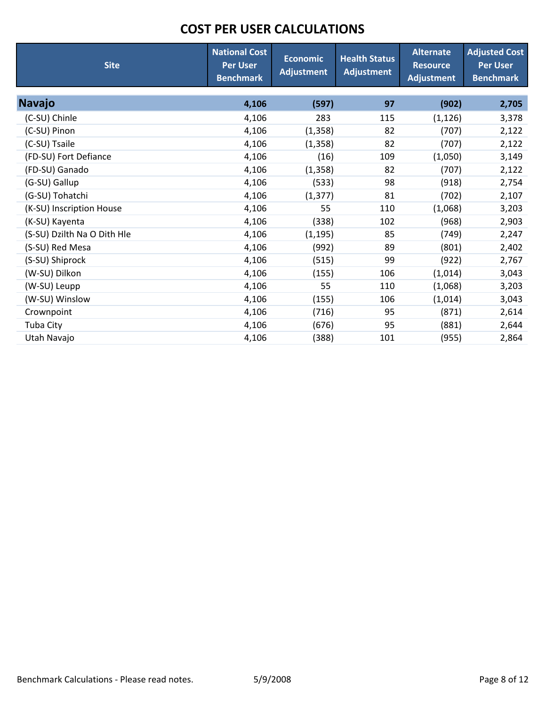| <b>Site</b>                 | <b>National Cost</b><br><b>Per User</b><br><b>Benchmark</b> | <b>Economic</b><br><b>Adjustment</b> | <b>Health Status</b><br><b>Adjustment</b> | <b>Alternate</b><br><b>Resource</b><br><b>Adjustment</b> | <b>Adjusted Cost</b><br><b>Per User</b><br><b>Benchmark</b> |
|-----------------------------|-------------------------------------------------------------|--------------------------------------|-------------------------------------------|----------------------------------------------------------|-------------------------------------------------------------|
| <b>Navajo</b>               | 4,106                                                       | (597)                                | 97                                        | (902)                                                    | 2,705                                                       |
| (C-SU) Chinle               | 4,106                                                       | 283                                  | 115                                       | (1, 126)                                                 | 3,378                                                       |
| (C-SU) Pinon                | 4,106                                                       | (1, 358)                             | 82                                        | (707)                                                    | 2,122                                                       |
| (C-SU) Tsaile               | 4,106                                                       | (1, 358)                             | 82                                        | (707)                                                    | 2,122                                                       |
| (FD-SU) Fort Defiance       | 4,106                                                       | (16)                                 | 109                                       | (1,050)                                                  | 3,149                                                       |
| (FD-SU) Ganado              | 4,106                                                       | (1, 358)                             | 82                                        | (707)                                                    | 2,122                                                       |
| (G-SU) Gallup               | 4,106                                                       | (533)                                | 98                                        | (918)                                                    | 2,754                                                       |
| (G-SU) Tohatchi             | 4,106                                                       | (1, 377)                             | 81                                        | (702)                                                    | 2,107                                                       |
| (K-SU) Inscription House    | 4,106                                                       | 55                                   | 110                                       | (1,068)                                                  | 3,203                                                       |
| (K-SU) Kayenta              | 4,106                                                       | (338)                                | 102                                       | (968)                                                    | 2,903                                                       |
| (S-SU) Dzilth Na O Dith Hle | 4,106                                                       | (1, 195)                             | 85                                        | (749)                                                    | 2,247                                                       |
| (S-SU) Red Mesa             | 4,106                                                       | (992)                                | 89                                        | (801)                                                    | 2,402                                                       |
| (S-SU) Shiprock             | 4,106                                                       | (515)                                | 99                                        | (922)                                                    | 2,767                                                       |
| (W-SU) Dilkon               | 4,106                                                       | (155)                                | 106                                       | (1,014)                                                  | 3,043                                                       |
| (W-SU) Leupp                | 4,106                                                       | 55                                   | 110                                       | (1,068)                                                  | 3,203                                                       |
| (W-SU) Winslow              | 4,106                                                       | (155)                                | 106                                       | (1,014)                                                  | 3,043                                                       |
| Crownpoint                  | 4,106                                                       | (716)                                | 95                                        | (871)                                                    | 2,614                                                       |
| Tuba City                   | 4,106                                                       | (676)                                | 95                                        | (881)                                                    | 2,644                                                       |
| Utah Navajo                 | 4,106                                                       | (388)                                | 101                                       | (955)                                                    | 2,864                                                       |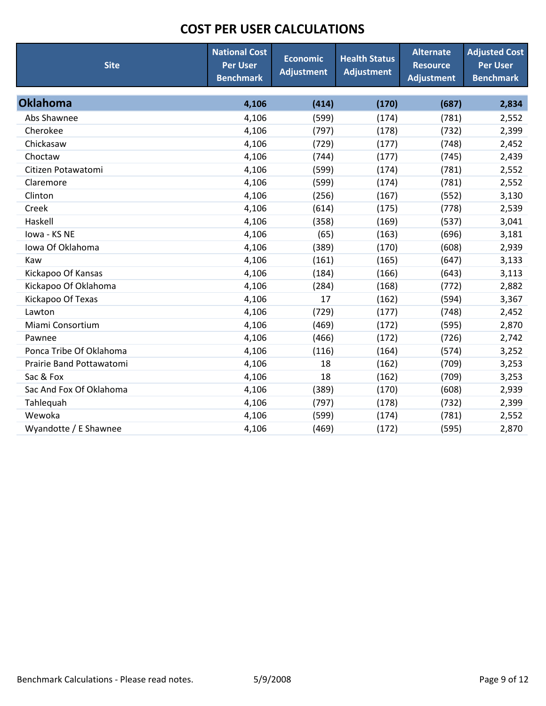| <b>Site</b>              | <b>National Cost</b><br><b>Per User</b><br><b>Benchmark</b> | <b>Economic</b><br><b>Adjustment</b> | <b>Health Status</b><br><b>Adjustment</b> | <b>Alternate</b><br><b>Resource</b><br><b>Adjustment</b> | <b>Adjusted Cost</b><br><b>Per User</b><br><b>Benchmark</b> |
|--------------------------|-------------------------------------------------------------|--------------------------------------|-------------------------------------------|----------------------------------------------------------|-------------------------------------------------------------|
| <b>Oklahoma</b>          | 4,106                                                       | (414)                                | (170)                                     | (687)                                                    | 2,834                                                       |
| Abs Shawnee              | 4,106                                                       | (599)                                | (174)                                     | (781)                                                    | 2,552                                                       |
| Cherokee                 | 4,106                                                       | (797)                                | (178)                                     | (732)                                                    | 2,399                                                       |
| Chickasaw                | 4,106                                                       | (729)                                | (177)                                     | (748)                                                    | 2,452                                                       |
| Choctaw                  | 4,106                                                       | (744)                                | (177)                                     | (745)                                                    | 2,439                                                       |
| Citizen Potawatomi       | 4,106                                                       | (599)                                | (174)                                     | (781)                                                    | 2,552                                                       |
| Claremore                | 4,106                                                       | (599)                                | (174)                                     | (781)                                                    | 2,552                                                       |
| Clinton                  | 4,106                                                       | (256)                                | (167)                                     | (552)                                                    | 3,130                                                       |
| Creek                    | 4,106                                                       | (614)                                | (175)                                     | (778)                                                    | 2,539                                                       |
| Haskell                  | 4,106                                                       | (358)                                | (169)                                     | (537)                                                    | 3,041                                                       |
| Iowa - KS NE             | 4,106                                                       | (65)                                 | (163)                                     | (696)                                                    | 3,181                                                       |
| Iowa Of Oklahoma         | 4,106                                                       | (389)                                | (170)                                     | (608)                                                    | 2,939                                                       |
| Kaw                      | 4,106                                                       | (161)                                | (165)                                     | (647)                                                    | 3,133                                                       |
| Kickapoo Of Kansas       | 4,106                                                       | (184)                                | (166)                                     | (643)                                                    | 3,113                                                       |
| Kickapoo Of Oklahoma     | 4,106                                                       | (284)                                | (168)                                     | (772)                                                    | 2,882                                                       |
| Kickapoo Of Texas        | 4,106                                                       | 17                                   | (162)                                     | (594)                                                    | 3,367                                                       |
| Lawton                   | 4,106                                                       | (729)                                | (177)                                     | (748)                                                    | 2,452                                                       |
| Miami Consortium         | 4,106                                                       | (469)                                | (172)                                     | (595)                                                    | 2,870                                                       |
| Pawnee                   | 4,106                                                       | (466)                                | (172)                                     | (726)                                                    | 2,742                                                       |
| Ponca Tribe Of Oklahoma  | 4,106                                                       | (116)                                | (164)                                     | (574)                                                    | 3,252                                                       |
| Prairie Band Pottawatomi | 4,106                                                       | 18                                   | (162)                                     | (709)                                                    | 3,253                                                       |
| Sac & Fox                | 4,106                                                       | 18                                   | (162)                                     | (709)                                                    | 3,253                                                       |
| Sac And Fox Of Oklahoma  | 4,106                                                       | (389)                                | (170)                                     | (608)                                                    | 2,939                                                       |
| Tahlequah                | 4,106                                                       | (797)                                | (178)                                     | (732)                                                    | 2,399                                                       |
| Wewoka                   | 4,106                                                       | (599)                                | (174)                                     | (781)                                                    | 2,552                                                       |
| Wyandotte / E Shawnee    | 4,106                                                       | (469)                                | (172)                                     | (595)                                                    | 2,870                                                       |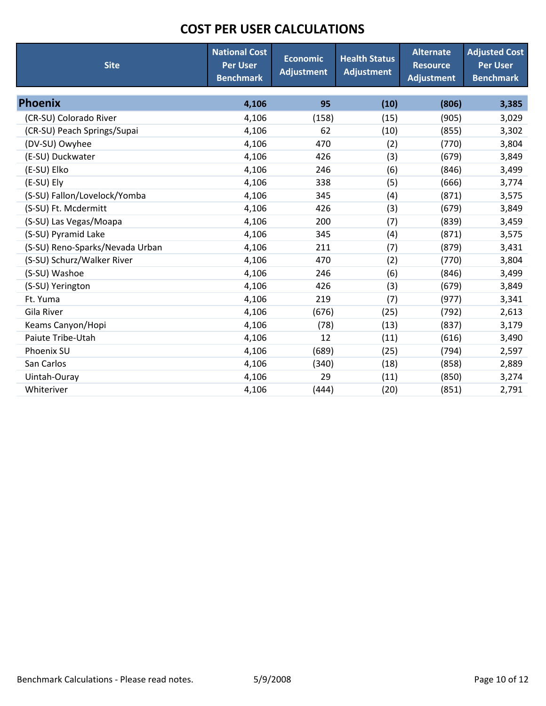| <b>Site</b>                     | <b>National Cost</b><br><b>Per User</b><br><b>Benchmark</b> | <b>Economic</b><br><b>Adjustment</b> | <b>Health Status</b><br><b>Adjustment</b> | <b>Alternate</b><br><b>Resource</b><br><b>Adjustment</b> | <b>Adjusted Cost</b><br><b>Per User</b><br><b>Benchmark</b> |
|---------------------------------|-------------------------------------------------------------|--------------------------------------|-------------------------------------------|----------------------------------------------------------|-------------------------------------------------------------|
| Phoenix                         | 4,106                                                       | 95                                   | (10)                                      | (806)                                                    | 3,385                                                       |
| (CR-SU) Colorado River          | 4,106                                                       | (158)                                | (15)                                      | (905)                                                    | 3,029                                                       |
| (CR-SU) Peach Springs/Supai     | 4,106                                                       | 62                                   | (10)                                      | (855)                                                    | 3,302                                                       |
| (DV-SU) Owyhee                  | 4,106                                                       | 470                                  | (2)                                       | (770)                                                    | 3,804                                                       |
| (E-SU) Duckwater                | 4,106                                                       | 426                                  | (3)                                       | (679)                                                    | 3,849                                                       |
| (E-SU) Elko                     | 4,106                                                       | 246                                  | (6)                                       | (846)                                                    | 3,499                                                       |
| (E-SU) Ely                      | 4,106                                                       | 338                                  | (5)                                       | (666)                                                    | 3,774                                                       |
| (S-SU) Fallon/Lovelock/Yomba    | 4,106                                                       | 345                                  | (4)                                       | (871)                                                    | 3,575                                                       |
| (S-SU) Ft. Mcdermitt            | 4,106                                                       | 426                                  | (3)                                       | (679)                                                    | 3,849                                                       |
| (S-SU) Las Vegas/Moapa          | 4,106                                                       | 200                                  | (7)                                       | (839)                                                    | 3,459                                                       |
| (S-SU) Pyramid Lake             | 4,106                                                       | 345                                  | (4)                                       | (871)                                                    | 3,575                                                       |
| (S-SU) Reno-Sparks/Nevada Urban | 4,106                                                       | 211                                  | (7)                                       | (879)                                                    | 3,431                                                       |
| (S-SU) Schurz/Walker River      | 4,106                                                       | 470                                  | (2)                                       | (770)                                                    | 3,804                                                       |
| (S-SU) Washoe                   | 4,106                                                       | 246                                  | (6)                                       | (846)                                                    | 3,499                                                       |
| (S-SU) Yerington                | 4,106                                                       | 426                                  | (3)                                       | (679)                                                    | 3,849                                                       |
| Ft. Yuma                        | 4,106                                                       | 219                                  | (7)                                       | (977)                                                    | 3,341                                                       |
| Gila River                      | 4,106                                                       | (676)                                | (25)                                      | (792)                                                    | 2,613                                                       |
| Keams Canyon/Hopi               | 4,106                                                       | (78)                                 | (13)                                      | (837)                                                    | 3,179                                                       |
| Paiute Tribe-Utah               | 4,106                                                       | 12                                   | (11)                                      | (616)                                                    | 3,490                                                       |
| Phoenix SU                      | 4,106                                                       | (689)                                | (25)                                      | (794)                                                    | 2,597                                                       |
| San Carlos                      | 4,106                                                       | (340)                                | (18)                                      | (858)                                                    | 2,889                                                       |
| Uintah-Ouray                    | 4,106                                                       | 29                                   | (11)                                      | (850)                                                    | 3,274                                                       |
| Whiteriver                      | 4,106                                                       | (444)                                | (20)                                      | (851)                                                    | 2,791                                                       |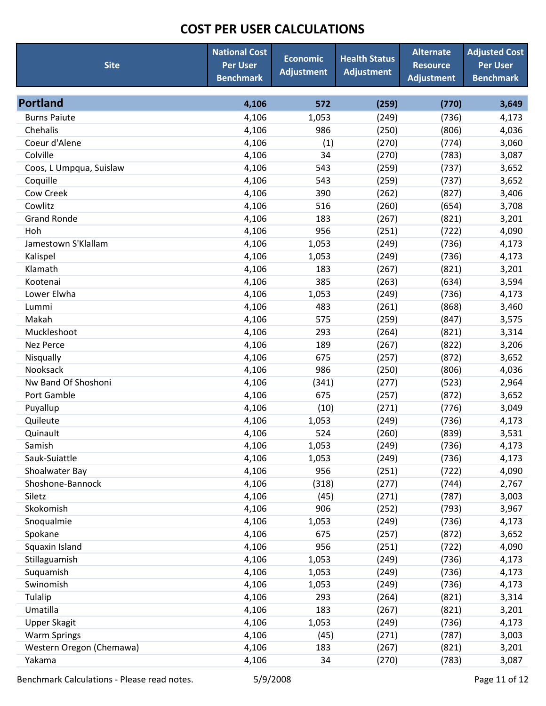| <b>Site</b>                        | <b>National Cost</b><br><b>Per User</b><br><b>Benchmark</b> | <b>Economic</b><br><b>Adjustment</b> | <b>Health Status</b><br><b>Adjustment</b> | <b>Alternate</b><br><b>Resource</b><br><b>Adjustment</b> | <b>Adjusted Cost</b><br><b>Per User</b><br><b>Benchmark</b> |
|------------------------------------|-------------------------------------------------------------|--------------------------------------|-------------------------------------------|----------------------------------------------------------|-------------------------------------------------------------|
| <b>Portland</b>                    | 4,106                                                       | 572                                  | (259)                                     | (770)                                                    | 3,649                                                       |
| <b>Burns Paiute</b>                | 4,106                                                       | 1,053                                | (249)                                     | (736)                                                    | 4,173                                                       |
| Chehalis                           |                                                             | 986                                  |                                           |                                                          |                                                             |
| Coeur d'Alene                      | 4,106<br>4,106                                              |                                      | (250)<br>(270)                            | (806)<br>(774)                                           | 4,036<br>3,060                                              |
| Colville                           | 4,106                                                       | (1)<br>34                            | (270)                                     | (783)                                                    | 3,087                                                       |
| Coos, L Umpqua, Suislaw            | 4,106                                                       | 543                                  | (259)                                     | (737)                                                    | 3,652                                                       |
| Coquille                           | 4,106                                                       | 543                                  | (259)                                     | (737)                                                    | 3,652                                                       |
| <b>Cow Creek</b>                   | 4,106                                                       | 390                                  | (262)                                     | (827)                                                    | 3,406                                                       |
| Cowlitz                            | 4,106                                                       | 516                                  | (260)                                     | (654)                                                    | 3,708                                                       |
| <b>Grand Ronde</b>                 | 4,106                                                       | 183                                  | (267)                                     | (821)                                                    | 3,201                                                       |
| Hoh                                | 4,106                                                       | 956                                  | (251)                                     | (722)                                                    |                                                             |
| Jamestown S'Klallam                |                                                             |                                      |                                           |                                                          | 4,090                                                       |
|                                    | 4,106<br>4,106                                              | 1,053<br>1,053                       | (249)<br>(249)                            | (736)<br>(736)                                           | 4,173<br>4,173                                              |
| Kalispel<br>Klamath                |                                                             |                                      |                                           |                                                          |                                                             |
| Kootenai                           | 4,106                                                       | 183<br>385                           | (267)                                     | (821)                                                    | 3,201                                                       |
|                                    | 4,106                                                       |                                      | (263)                                     | (634)                                                    | 3,594                                                       |
| Lower Elwha                        | 4,106                                                       | 1,053                                | (249)                                     | (736)                                                    | 4,173                                                       |
| Lummi<br>Makah                     | 4,106                                                       | 483<br>575                           | (261)                                     | (868)                                                    | 3,460                                                       |
|                                    | 4,106                                                       |                                      | (259)                                     | (847)                                                    | 3,575                                                       |
| Muckleshoot                        | 4,106                                                       | 293                                  | (264)                                     | (821)                                                    | 3,314                                                       |
| <b>Nez Perce</b>                   | 4,106                                                       | 189                                  | (267)                                     | (822)                                                    | 3,206                                                       |
| Nisqually                          | 4,106                                                       | 675                                  | (257)                                     | (872)                                                    | 3,652                                                       |
| Nooksack                           | 4,106                                                       | 986                                  | (250)                                     | (806)                                                    | 4,036                                                       |
| Nw Band Of Shoshoni                | 4,106                                                       | (341)                                | (277)                                     | (523)                                                    | 2,964                                                       |
| Port Gamble                        | 4,106                                                       | 675                                  | (257)                                     | (872)                                                    | 3,652                                                       |
| Puyallup                           | 4,106                                                       | (10)                                 | (271)                                     | (776)                                                    | 3,049                                                       |
| Quileute                           | 4,106                                                       | 1,053                                | (249)                                     | (736)                                                    | 4,173                                                       |
| Quinault<br>Samish                 | 4,106                                                       | 524                                  | (260)                                     | (839)                                                    | 3,531                                                       |
|                                    | 4,106                                                       | 1,053                                | (249)                                     | (736)                                                    | 4,173                                                       |
| Sauk-Suiattle                      | 4,106                                                       | 1,053                                | (249)                                     | (736)                                                    | 4,173                                                       |
| Shoalwater Bay<br>Shoshone-Bannock | 4,106<br>4,106                                              | 956<br>(318)                         | (251)<br>(277)                            | (722)<br>(744)                                           | 4,090<br>2,767                                              |
| Siletz                             | 4,106                                                       | (45)                                 | (271)                                     | (787)                                                    | 3,003                                                       |
| Skokomish                          | 4,106                                                       | 906                                  | (252)                                     | (793)                                                    | 3,967                                                       |
| Snoqualmie                         | 4,106                                                       | 1,053                                | (249)                                     | (736)                                                    | 4,173                                                       |
| Spokane                            | 4,106                                                       | 675                                  | (257)                                     | (872)                                                    | 3,652                                                       |
| Squaxin Island                     | 4,106                                                       | 956                                  | (251)                                     | (722)                                                    | 4,090                                                       |
| Stillaguamish                      | 4,106                                                       | 1,053                                | (249)                                     | (736)                                                    | 4,173                                                       |
| Suquamish                          | 4,106                                                       | 1,053                                | (249)                                     | (736)                                                    | 4,173                                                       |
| Swinomish                          | 4,106                                                       | 1,053                                | (249)                                     | (736)                                                    | 4,173                                                       |
| Tulalip                            | 4,106                                                       | 293                                  | (264)                                     | (821)                                                    | 3,314                                                       |
| Umatilla                           | 4,106                                                       | 183                                  | (267)                                     | (821)                                                    | 3,201                                                       |
| <b>Upper Skagit</b>                | 4,106                                                       | 1,053                                | (249)                                     | (736)                                                    | 4,173                                                       |
| <b>Warm Springs</b>                | 4,106                                                       | (45)                                 | (271)                                     | (787)                                                    | 3,003                                                       |
| Western Oregon (Chemawa)           | 4,106                                                       | 183                                  | (267)                                     | (821)                                                    | 3,201                                                       |
| Yakama                             | 4,106                                                       | 34                                   | (270)                                     | (783)                                                    | 3,087                                                       |

Benchmark Calculations - Please read notes. 65/9/2008 http://www.fage 11 of 12